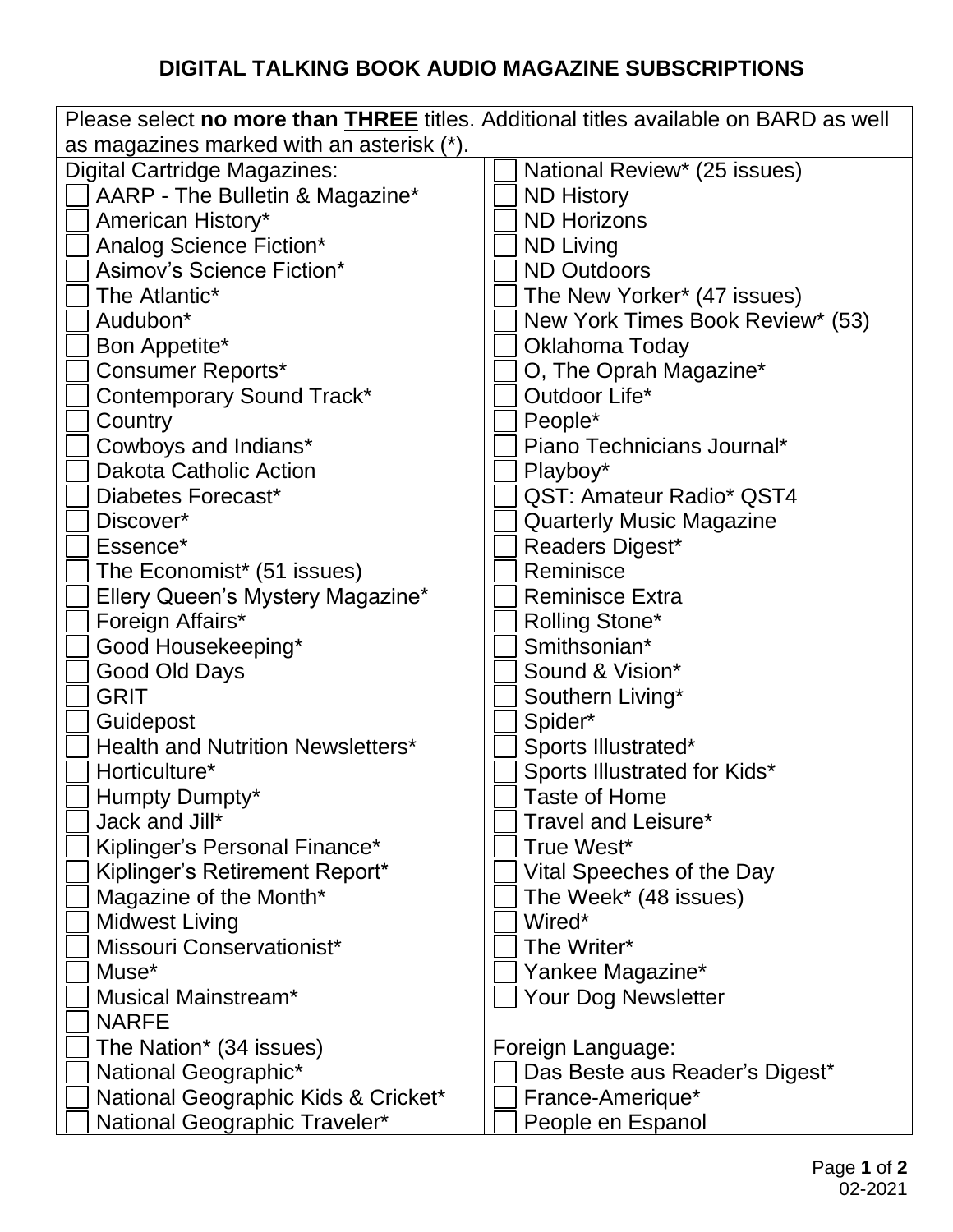## **DIGITAL TALKING BOOK AUDIO MAGAZINE SUBSCRIPTIONS**

| Please select no more than THREE titles. Additional titles available on BARD as well |                                  |  |
|--------------------------------------------------------------------------------------|----------------------------------|--|
| as magazines marked with an asterisk (*).                                            |                                  |  |
| <b>Digital Cartridge Magazines:</b>                                                  | National Review* (25 issues)     |  |
| AARP - The Bulletin & Magazine*                                                      | <b>ND History</b>                |  |
| American History*                                                                    | <b>ND Horizons</b>               |  |
| Analog Science Fiction*                                                              | <b>ND Living</b>                 |  |
| Asimov's Science Fiction*                                                            | <b>ND Outdoors</b>               |  |
| The Atlantic*                                                                        | The New Yorker* (47 issues)      |  |
| Audubon*                                                                             | New York Times Book Review* (53) |  |
| Bon Appetite*                                                                        | Oklahoma Today                   |  |
| <b>Consumer Reports*</b>                                                             | O, The Oprah Magazine*           |  |
| <b>Contemporary Sound Track*</b>                                                     | Outdoor Life*                    |  |
| Country                                                                              | People*                          |  |
| Cowboys and Indians*                                                                 | Piano Technicians Journal*       |  |
| <b>Dakota Catholic Action</b>                                                        | Playboy*                         |  |
| Diabetes Forecast*                                                                   | QST: Amateur Radio* QST4         |  |
| Discover*                                                                            | <b>Quarterly Music Magazine</b>  |  |
| Essence*                                                                             | Readers Digest*                  |  |
| The Economist* (51 issues)                                                           | Reminisce                        |  |
| Ellery Queen's Mystery Magazine*                                                     | <b>Reminisce Extra</b>           |  |
| Foreign Affairs*                                                                     | <b>Rolling Stone*</b>            |  |
| Good Housekeeping*                                                                   | Smithsonian*                     |  |
| Good Old Days                                                                        | Sound & Vision*                  |  |
| <b>GRIT</b>                                                                          | Southern Living*                 |  |
| Guidepost                                                                            | Spider*                          |  |
| <b>Health and Nutrition Newsletters*</b>                                             | Sports Illustrated*              |  |
| Horticulture*                                                                        | Sports Illustrated for Kids*     |  |
| Humpty Dumpty*                                                                       | <b>Taste of Home</b>             |  |
| Jack and Jill*                                                                       | Travel and Leisure*              |  |
| Kiplinger's Personal Finance*                                                        | True West*                       |  |
| Kiplinger's Retirement Report*                                                       | Vital Speeches of the Day        |  |
| Magazine of the Month*                                                               | The Week* (48 issues)            |  |
| <b>Midwest Living</b>                                                                | Wired*                           |  |
| Missouri Conservationist*                                                            | The Writer*                      |  |
| Muse <sup>*</sup>                                                                    | Yankee Magazine*                 |  |
| <b>Musical Mainstream*</b>                                                           | <b>Your Dog Newsletter</b>       |  |
| <b>NARFE</b>                                                                         |                                  |  |
| The Nation <sup>*</sup> (34 issues)                                                  | Foreign Language:                |  |
| National Geographic*                                                                 | Das Beste aus Reader's Digest*   |  |
| National Geographic Kids & Cricket*                                                  | France-Amerique*                 |  |
| National Geographic Traveler*                                                        | People en Espanol                |  |